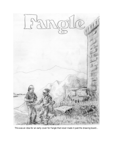

This was an idea for an early cover for Fangle that never made it past the drawing board...